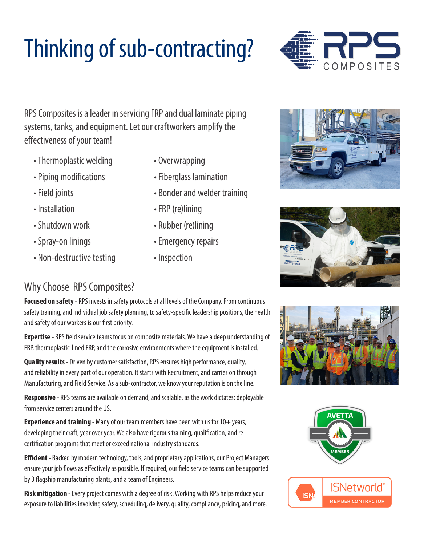# Thinking of sub-contracting?



RPS Composites is a leader in servicing FRP and dual laminate piping systems, tanks, and equipment. Let our craftworkers amplify the effectiveness of your team!

- Thermoplastic welding Overwrapping
- 
- 
- 
- 
- 
- Non-destructive testing Inspection
- 
- Piping modifications Fiberglass lamination
- Field joints **Bonder and welder training**
- Installation FRP (re)lining
- Shutdown work Rubber (re)lining
- Spray-on linings **Emergency repairs** 
	-





### Why Choose RPS Composites?

**Focused on safety** - RPS invests in safety protocols at all levels of the Company. From continuous safety training, and individual job safety planning, to safety-specific leadership positions, the health and safety of our workers is our first priority.

**Expertise** - RPS field service teams focus on composite materials. We have a deep understanding of FRP, thermoplastic-lined FRP, and the corrosive environments where the equipment is installed.

**Quality results** - Driven by customer satisfaction, RPS ensures high performance, quality, and reliability in every part of our operation. It starts with Recruitment, and carries on through Manufacturing, and Field Service. As a sub-contractor, we know your reputation is on the line.

**Responsive** - RPS teams are available on demand, and scalable, as the work dictates; deployable from service centers around the US.

**Experience and training** - Many of our team members have been with us for 10+ years, developing their craft, year over year. We also have rigorous training, qualification, and recertification programs that meet or exceed national industry standards.

**Efficient** - Backed by modern technology, tools, and proprietary applications, our Project Managers ensure your job flows as effectively as possible. If required, our field service teams can be supported by 3 flagship manufacturing plants, and a team of Engineers.

**Risk mitigation** - Every project comes with a degree of risk. Working with RPS helps reduce your exposure to liabilities involving safety, scheduling, delivery, quality, compliance, pricing, and more.